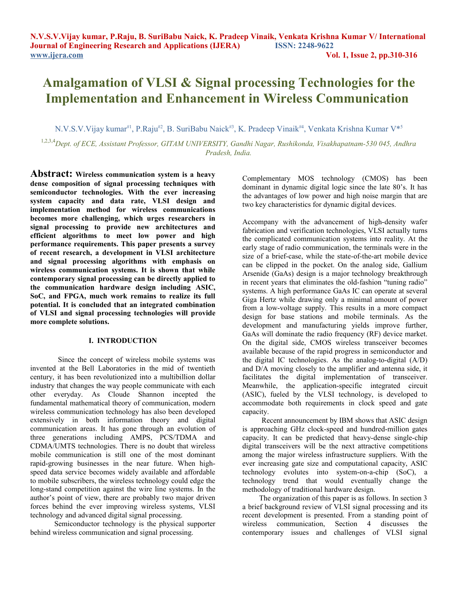# **Amalgamation of VLSI & Signal processing Technologies for the Implementation and Enhancement in Wireless Communication**

N.V.S.V.Vijay kumar<sup>#1</sup>, P.Raju<sup>#2</sup>, B. SuriBabu Naick<sup>#3</sup>, K. Pradeep Vinaik<sup>#4</sup>, Venkata Krishna Kumar V\*<sup>5</sup>

1,2,3,4*Dept. of ECE, Assistant Professor, GITAM UNIVERSITY, Gandhi Nagar, Rushikonda, Visakhapatnam-530 045, Andhra Pradesh, India.*

**Abstract: Wireless communication system is a heavy dense composition of signal processing techniques with semiconductor technologies. With the ever increasing system capacity and data rate, VLSI design and implementation method for wireless communications becomes more challenging, which urges researchers in signal processing to provide new architectures and efficient algorithms to meet low power and high performance requirements. This paper presents a survey of recent research, a development in VLSI architecture and signal processing algorithms with emphasis on wireless communication systems. It is shown that while contemporary signal processing can be directly applied to the communication hardware design including ASIC, SoC, and FPGA, much work remains to realize its full potential. It is concluded that an integrated combination of VLSI and signal processing technologies will provide more complete solutions.** 

## **I. INTRODUCTION**

 Since the concept of wireless mobile systems was invented at the Bell Laboratories in the mid of twentieth century, it has been revolutionized into a multibillion dollar industry that changes the way people communicate with each other everyday. As Cloude Shannon incepted the fundamental mathematical theory of communication, modern wireless communication technology has also been developed extensively in both information theory and digital communication areas. It has gone through an evolution of three generations including AMPS, PCS/TDMA and CDMA/UMTS technologies. There is no doubt that wireless mobile communication is still one of the most dominant rapid-growing businesses in the near future. When highspeed data service becomes widely available and affordable to mobile subscribers, the wireless technology could edge the long-stand competition against the wire line systems. In the author's point of view, there are probably two major driven forces behind the ever improving wireless systems, VLSI technology and advanced digital signal processing.

 Semiconductor technology is the physical supporter behind wireless communication and signal processing.

Complementary MOS technology (CMOS) has been dominant in dynamic digital logic since the late 80's. It has the advantages of low power and high noise margin that are two key characteristics for dynamic digital devices.

Accompany with the advancement of high-density wafer fabrication and verification technologies, VLSI actually turns the complicated communication systems into reality. At the early stage of radio communication, the terminals were in the size of a brief-case, while the state-of-the-art mobile device can be clipped in the pocket. On the analog side, Gallium Arsenide (GaAs) design is a major technology breakthrough in recent years that eliminates the old-fashion "tuning radio" systems. A high performance GaAs IC can operate at several Giga Hertz while drawing only a minimal amount of power from a low-voltage supply. This results in a more compact design for base stations and mobile terminals. As the development and manufacturing yields improve further, GaAs will dominate the radio frequency (RF) device market. On the digital side, CMOS wireless transceiver becomes available because of the rapid progress in semiconductor and the digital IC technologies. As the analog-to-digital (A/D) and D/A moving closely to the amplifier and antenna side, it facilitates the digital implementation of transceiver. Meanwhile, the application-specific integrated circuit (ASIC), fueled by the VLSI technology, is developed to accommodate both requirements in clock speed and gate capacity.

 Recent announcement by IBM shows that ASIC design is approaching GHz clock-speed and hundred-million gates capacity. It can be predicted that heavy-dense single-chip digital transceivers will be the next attractive competitions among the major wireless infrastructure suppliers. With the ever increasing gate size and computational capacity, ASIC technology evolutes into system-on-a-chip (SoC), a technology trend that would eventually change the methodology of traditional hardware design.

 The organization of this paper is as follows. In section 3 a brief background review of VLSI signal processing and its recent development is presented. From a standing point of wireless communication, Section 4 discusses the contemporary issues and challenges of VLSI signal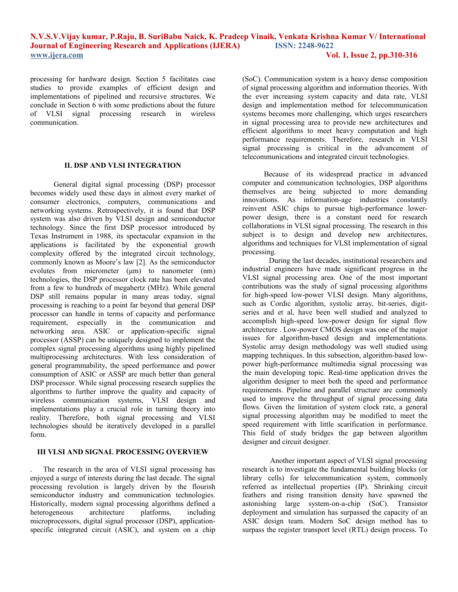processing for hardware design. Section 5 facilitates case studies to provide examples of efficient design and implementations of pipelined and recursive structures. We conclude in Section 6 with some predictions about the future of VLSI signal processing research in wireless communication.

## **II. DSP AND VLSI INTEGRATION**

 General digital signal processing (DSP) processor becomes widely used these days in almost every market of consumer electronics, computers, communications and networking systems. Retrospectively, it is found that DSP system was also driven by VLSI design and semiconductor technology. Since the first DSP processor introduced by Texas Instrument in 1988, its spectacular expansion in the applications is facilitated by the exponential growth complexity offered by the integrated circuit technology, commonly known as Moore's law [2]. As the semiconductor evolutes from micrometer (μm) to nanometer (nm) technologies, the DSP processor clock rate has been elevated from a few to hundreds of megahertz (MHz). While general DSP still remains popular in many areas today, signal processing is reaching to a point far beyond that general DSP processor can handle in terms of capacity and performance requirement, especially in the communication and networking area. ASIC or application-specific signal processor (ASSP) can be uniquely designed to implement the complex signal processing algorithms using highly pipelined multiprocessing architectures. With less consideration of general programmability, the speed performance and power consumption of ASIC or ASSP are much better than general DSP processor. While signal processing research supplies the algorithms to further improve the quality and capacity of wireless communication systems, VLSI design and implementations play a crucial role in turning theory into reality. Therefore, both signal processing and VLSI technologies should be iteratively developed in a parallel form.

## **III VLSI AND SIGNAL PROCESSING OVERVIEW**

. The research in the area of VLSI signal processing has enjoyed a surge of interests during the last decade. The signal processing revolution is largely driven by the flourish semiconductor industry and communication technologies. Historically, modern signal processing algorithms defined a heterogeneous architecture platforms, including microprocessors, digital signal processor (DSP), applicationspecific integrated circuit (ASIC), and system on a chip

(SoC). Communication system is a heavy dense composition of signal processing algorithm and information theories. With the ever increasing system capacity and data rate, VLSI design and implementation method for telecommunication systems becomes more challenging, which urges researchers in signal processing area to provide new architectures and efficient algorithms to meet heavy computation and high performance requirements. Therefore, research in VLSI signal processing is critical in the advancement of telecommunications and integrated circuit technologies.

 Because of its widespread practice in advanced computer and communication technologies, DSP algorithms themselves are being subjected to more demanding innovations. As information-age industries constantly reinvent ASIC chips to pursue high-performance lowerpower design, there is a constant need for research collaborations in VLSI signal processing. The research in this subject is to design and develop new architectures, algorithms and techniques for VLSI implementation of signal processing.

 During the last decades, institutional researchers and industrial engineers have made significant progress in the VLSI signal processing area. One of the most important contributions was the study of signal processing algorithms for high-speed low-power VLSI design. Many algorithms, such as Cordic algorithm, systolic array, bit-series, digitseries and et al, have been well studied and analyzed to accomplish high-speed low-power design for signal flow architecture . Low-power CMOS design was one of the major issues for algorithm-based design and implementations. Systolic array design methodology was well studied using mapping techniques. In this subsection, algorithm-based lowpower high-performance multimedia signal processing was the main developing topic. Real-time application drives the algorithm designer to meet both the speed and performance requirements. Pipeline and parallel structure are commonly used to improve the throughput of signal processing data flows. Given the limitation of system clock rate, a general signal processing algorithm may be modified to meet the speed requirement with little scarification in performance. This field of study bridges the gap between algorithm designer and circuit designer.

 Another important aspect of VLSI signal processing research is to investigate the fundamental building blocks (or library cells) for telecommunication system, commonly referred as intellectual properties (IP). Shrinking circuit feathers and rising transition density have spawned the astonishing large system-on-a-chip (SoC). Transistor deployment and simulation has surpassed the capacity of an ASIC design team. Modern SoC design method has to surpass the register transport level (RTL) design process. To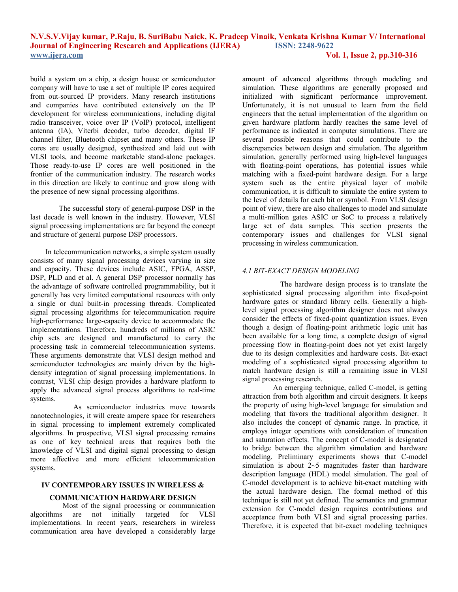build a system on a chip, a design house or semiconductor company will have to use a set of multiple IP cores acquired from out-sourced IP providers. Many research institutions and companies have contributed extensively on the IP development for wireless communications, including digital radio transceiver, voice over IP (VoIP) protocol, intelligent antenna (IA), Viterbi decoder, turbo decoder, digital IF channel filter, Bluetooth chipset and many others. These IP cores are usually designed, synthesized and laid out with VLSI tools, and become marketable stand-alone packages. Those ready-to-use IP cores are well positioned in the frontier of the communication industry. The research works in this direction are likely to continue and grow along with the presence of new signal processing algorithms.

 The successful story of general-purpose DSP in the last decade is well known in the industry. However, VLSI signal processing implementations are far beyond the concept and structure of general purpose DSP processors.

 In telecommunication networks, a simple system usually consists of many signal processing devices varying in size and capacity. These devices include ASIC, FPGA, ASSP, DSP, PLD and et al. A general DSP processor normally has the advantage of software controlled programmability, but it generally has very limited computational resources with only a single or dual built-in processing threads. Complicated signal processing algorithms for telecommunication require high-performance large-capacity device to accommodate the implementations. Therefore, hundreds of millions of ASIC chip sets are designed and manufactured to carry the processing task in commercial telecommunication systems. These arguments demonstrate that VLSI design method and semiconductor technologies are mainly driven by the highdensity integration of signal processing implementations. In contrast, VLSI chip design provides a hardware platform to apply the advanced signal process algorithms to real-time systems.

 As semiconductor industries move towards nanotechnologies, it will create ampere space for researchers in signal processing to implement extremely complicated algorithms. In prospective, VLSI signal processing remains as one of key technical areas that requires both the knowledge of VLSI and digital signal processing to design more affective and more efficient telecommunication systems.

### **IV CONTEMPORARY ISSUES IN WIRELESS &**

#### **COMMUNICATION HARDWARE DESIGN**

 Most of the signal processing or communication algorithms are not initially targeted for VLSI implementations. In recent years, researchers in wireless communication area have developed a considerably large

amount of advanced algorithms through modeling and simulation. These algorithms are generally proposed and initialized with significant performance improvement. Unfortunately, it is not unusual to learn from the field engineers that the actual implementation of the algorithm on given hardware platform hardly reaches the same level of performance as indicated in computer simulations. There are several possible reasons that could contribute to the discrepancies between design and simulation. The algorithm simulation, generally performed using high-level languages with floating-point operations, has potential issues while matching with a fixed-point hardware design. For a large system such as the entire physical layer of mobile communication, it is difficult to simulate the entire system to the level of details for each bit or symbol. From VLSI design point of view, there are also challenges to model and simulate a multi-million gates ASIC or SoC to process a relatively large set of data samples. This section presents the contemporary issues and challenges for VLSI signal processing in wireless communication.

## *4.1 BIT-EXACT DESIGN MODELING*

 The hardware design process is to translate the sophisticated signal processing algorithm into fixed-point hardware gates or standard library cells. Generally a highlevel signal processing algorithm designer does not always consider the effects of fixed-point quantization issues. Even though a design of floating-point arithmetic logic unit has been available for a long time, a complete design of signal processing flow in floating-point does not yet exist largely due to its design complexities and hardware costs. Bit-exact modeling of a sophisticated signal processing algorithm to match hardware design is still a remaining issue in VLSI signal processing research.

 An emerging technique, called C-model, is getting attraction from both algorithm and circuit designers. It keeps the property of using high-level language for simulation and modeling that favors the traditional algorithm designer. It also includes the concept of dynamic range. In practice, it employs integer operations with consideration of truncation and saturation effects. The concept of C-model is designated to bridge between the algorithm simulation and hardware modeling. Preliminary experiments shows that C-model simulation is about  $2~5$  magnitudes faster than hardware description language (HDL) model simulation. The goal of C-model development is to achieve bit-exact matching with the actual hardware design. The formal method of this technique is still not yet defined. The semantics and grammar extension for C-model design requires contributions and acceptance from both VLSI and signal processing parties. Therefore, it is expected that bit-exact modeling techniques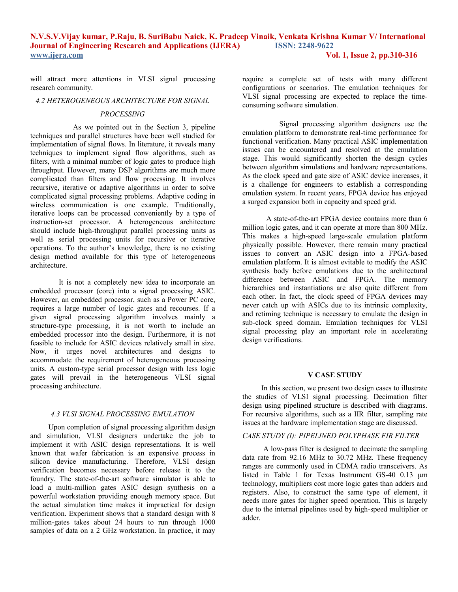will attract more attentions in VLSI signal processing research community.

## *4.2 HETEROGENEOUS ARCHITECTURE FOR SIGNAL*

#### *PROCESSING*

 As we pointed out in the Section 3, pipeline techniques and parallel structures have been well studied for implementation of signal flows. In literature, it reveals many techniques to implement signal flow algorithms, such as filters, with a minimal number of logic gates to produce high throughput. However, many DSP algorithms are much more complicated than filters and flow processing. It involves recursive, iterative or adaptive algorithms in order to solve complicated signal processing problems. Adaptive coding in wireless communication is one example. Traditionally, iterative loops can be processed conveniently by a type of instruction-set processor. A heterogeneous architecture should include high-throughput parallel processing units as well as serial processing units for recursive or iterative operations. To the author's knowledge, there is no existing design method available for this type of heterogeneous architecture.

 It is not a completely new idea to incorporate an embedded processor (core) into a signal processing ASIC. However, an embedded processor, such as a Power PC core, requires a large number of logic gates and recourses. If a given signal processing algorithm involves mainly a structure-type processing, it is not worth to include an embedded processor into the design. Furthermore, it is not feasible to include for ASIC devices relatively small in size. Now, it urges novel architectures and designs to accommodate the requirement of heterogeneous processing units. A custom-type serial processor design with less logic gates will prevail in the heterogeneous VLSI signal processing architecture.

#### *4.3 VLSI SIGNAL PROCESSING EMULATION*

 Upon completion of signal processing algorithm design and simulation, VLSI designers undertake the job to implement it with ASIC design representations. It is well known that wafer fabrication is an expensive process in silicon device manufacturing. Therefore, VLSI design verification becomes necessary before release it to the foundry. The state-of-the-art software simulator is able to load a multi-million gates ASIC design synthesis on a powerful workstation providing enough memory space. But the actual simulation time makes it impractical for design verification. Experiment shows that a standard design with 8 million-gates takes about 24 hours to run through 1000 samples of data on a 2 GHz workstation. In practice, it may

require a complete set of tests with many different configurations or scenarios. The emulation techniques for VLSI signal processing are expected to replace the timeconsuming software simulation.

 Signal processing algorithm designers use the emulation platform to demonstrate real-time performance for functional verification. Many practical ASIC implementation issues can be encountered and resolved at the emulation stage. This would significantly shorten the design cycles between algorithm simulations and hardware representations. As the clock speed and gate size of ASIC device increases, it is a challenge for engineers to establish a corresponding emulation system. In recent years, FPGA device has enjoyed a surged expansion both in capacity and speed grid.

 A state-of-the-art FPGA device contains more than 6 million logic gates, and it can operate at more than 800 MHz. This makes a high-speed large-scale emulation platform physically possible. However, there remain many practical issues to convert an ASIC design into a FPGA-based emulation platform. It is almost evitable to modify the ASIC synthesis body before emulations due to the architectural difference between ASIC and FPGA. The memory hierarchies and instantiations are also quite different from each other. In fact, the clock speed of FPGA devices may never catch up with ASICs due to its intrinsic complexity, and retiming technique is necessary to emulate the design in sub-clock speed domain. Emulation techniques for VLSI signal processing play an important role in accelerating design verifications.

#### **V CASE STUDY**

 In this section, we present two design cases to illustrate the studies of VLSI signal processing. Decimation filter design using pipelined structure is described with diagrams. For recursive algorithms, such as a IIR filter, sampling rate issues at the hardware implementation stage are discussed.

# *CASE STUDY (I): PIPELINED POLYPHASE FIR FILTER*

 A low-pass filter is designed to decimate the sampling data rate from 92.16 MHz to 30.72 MHz. These frequency ranges are commonly used in CDMA radio transceivers. As listed in Table 1 for Texas Instrument GS-40 0.13 μm technology, multipliers cost more logic gates than adders and registers. Also, to construct the same type of element, it needs more gates for higher speed operation. This is largely due to the internal pipelines used by high-speed multiplier or adder.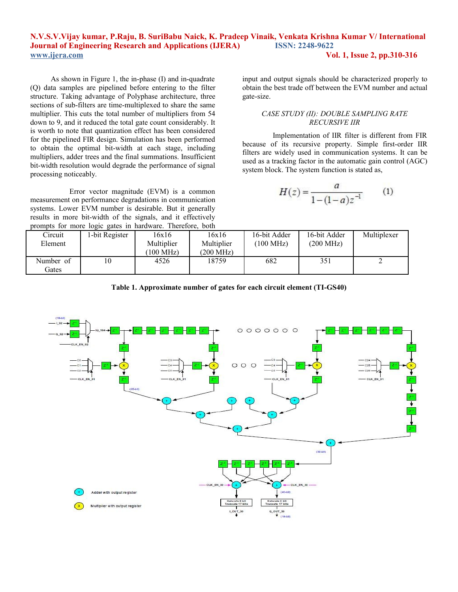As shown in Figure 1, the in-phase (I) and in-quadrate (Q) data samples are pipelined before entering to the filter structure. Taking advantage of Polyphase architecture, three sections of sub-filters are time-multiplexed to share the same multiplier. This cuts the total number of multipliers from 54 down to 9, and it reduced the total gate count considerably. It is worth to note that quantization effect has been considered for the pipelined FIR design. Simulation has been performed to obtain the optimal bit-width at each stage, including multipliers, adder trees and the final summations. Insufficient bit-width resolution would degrade the performance of signal processing noticeably.

 Error vector magnitude (EVM) is a common measurement on performance degradations in communication systems. Lower EVM number is desirable. But it generally results in more bit-width of the signals, and it effectively prompts for more logic gates in hardware. Therefore, both input and output signals should be characterized properly to obtain the best trade off between the EVM number and actual gate-size.

# *CASE STUDY (II): DOUBLE SAMPLING RATE RECURSIVE IIR*

 Implementation of IIR filter is different from FIR because of its recursive property. Simple first-order IIR filters are widely used in communication systems. It can be used as a tracking factor in the automatic gain control (AGC) system block. The system function is stated as,

$$
H(z) = \frac{a}{1 - (1 - a)z^{-1}} \tag{1}
$$

| $\mu$ and $\mu$ and $\mu$ and $\mu$ and $\mu$ and $\mu$ and $\mu$ and $\mu$<br>- 0011 |                |            |            |              |                     |             |
|---------------------------------------------------------------------------------------|----------------|------------|------------|--------------|---------------------|-------------|
| Circuit                                                                               | l-bit Register | 16x16      | 16x16      | 16-bit Adder | 16-bit Adder        | Multiplexer |
| Element                                                                               |                | Multiplier | Multiplier | $100$ MHz)   | $(200 \text{ MHz})$ |             |
|                                                                                       |                | $100$ MHz) | (200 MHz)  |              |                     |             |
| Number of                                                                             | 10             | 4526       | 18759      | 682          | 351                 |             |
| Gates                                                                                 |                |            |            |              |                     |             |

**Table 1. Approximate number of gates for each circuit element (TI-GS40)**

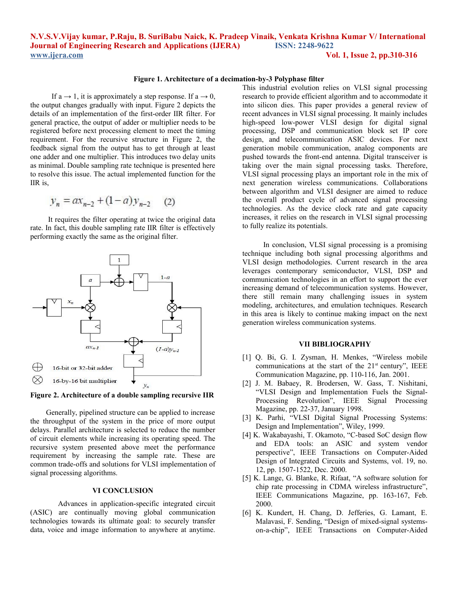#### **Figure 1. Architecture of a decimation-by-3 Polyphase filter**

If a  $\rightarrow$  1, it is approximately a step response. If a  $\rightarrow$  0, the output changes gradually with input. Figure 2 depicts the details of an implementation of the first-order IIR filter. For general practice, the output of adder or multiplier needs to be registered before next processing element to meet the timing requirement. For the recursive structure in Figure 2, the feedback signal from the output has to get through at least one adder and one multiplier. This introduces two delay units as minimal. Double sampling rate technique is presented here to resolve this issue. The actual implemented function for the IIR is,

$$
y_n = ax_{n-2} + (1 - a)y_{n-2} \tag{2}
$$

 It requires the filter operating at twice the original data rate. In fact, this double sampling rate IIR filter is effectively performing exactly the same as the original filter.



**Figure 2. Architecture of a double sampling recursive IIR**

 Generally, pipelined structure can be applied to increase the throughput of the system in the price of more output delays. Parallel architecture is selected to reduce the number of circuit elements while increasing its operating speed. The recursive system presented above meet the performance requirement by increasing the sample rate. These are common trade-offs and solutions for VLSI implementation of signal processing algorithms.

## **VI CONCLUSION**

 Advances in application-specific integrated circuit (ASIC) are continually moving global communication technologies towards its ultimate goal: to securely transfer data, voice and image information to anywhere at anytime.

This industrial evolution relies on VLSI signal processing research to provide efficient algorithm and to accommodate it into silicon dies. This paper provides a general review of recent advances in VLSI signal processing. It mainly includes high-speed low-power VLSI design for digital signal processing, DSP and communication block set IP core design, and telecommunication ASIC devices. For next generation mobile communication, analog components are pushed towards the front-end antenna. Digital transceiver is taking over the main signal processing tasks. Therefore, VLSI signal processing plays an important role in the mix of next generation wireless communications. Collaborations between algorithm and VLSI designer are aimed to reduce the overall product cycle of advanced signal processing technologies. As the device clock rate and gate capacity increases, it relies on the research in VLSI signal processing to fully realize its potentials.

 In conclusion, VLSI signal processing is a promising technique including both signal processing algorithms and VLSI design methodologies. Current research in the area leverages contemporary semiconductor, VLSI, DSP and communication technologies in an effort to support the ever increasing demand of telecommunication systems. However, there still remain many challenging issues in system modeling, architectures, and emulation techniques. Research in this area is likely to continue making impact on the next generation wireless communication systems.

#### **VII BIBLIOGRAPHY**

- [1] Q. Bi, G. I. Zysman, H. Menkes, "Wireless mobile communications at the start of the  $21<sup>st</sup>$  century", IEEE Communication Magazine, pp. 110-116, Jan. 2001.
- [2] J. M. Babaey, R. Brodersen, W. Gass, T. Nishitani, "VLSI Design and Implementation Fuels the Signal-Processing Revolution", IEEE Signal Processing Magazine, pp. 22-37, January 1998.
- [3] K. Parhi, "VLSI Digital Signal Processing Systems: Design and Implementation", Wiley, 1999.
- [4] K. Wakabayashi, T. Okamoto, "C-based SoC design flow and EDA tools: an ASIC and system vendor perspective", IEEE Transactions on Computer-Aided Design of Integrated Circuits and Systems, vol. 19, no. 12, pp. 1507-1522, Dec. 2000.
- [5] K. Lange, G. Blanke, R. Rifaat, "A software solution for chip rate processing in CDMA wireless infrastructure", IEEE Communications Magazine, pp. 163-167, Feb. 2000.
- [6] K. Kundert, H. Chang, D. Jefferies, G. Lamant, E. Malavasi, F. Sending, "Design of mixed-signal systemson-a-chip", IEEE Transactions on Computer-Aided